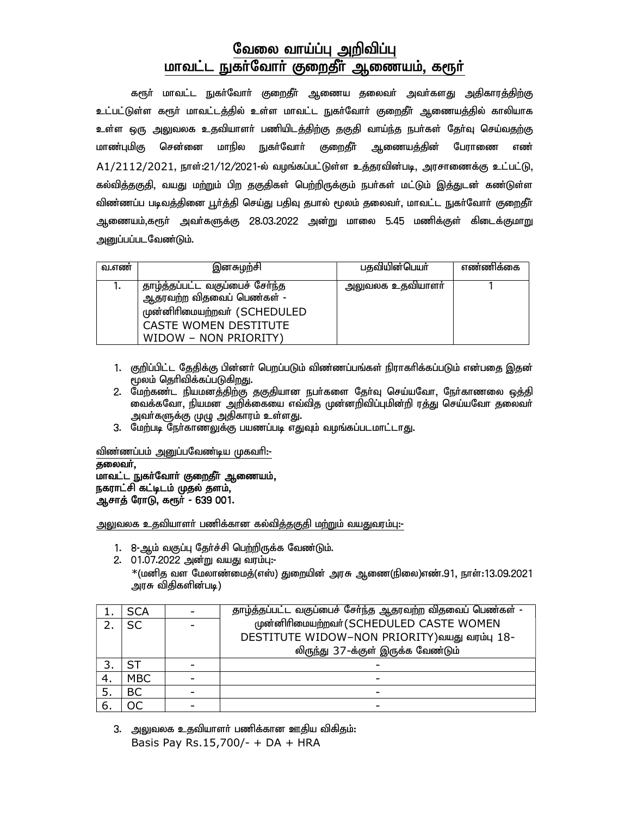## வேலை வாய்ப்பு அறிவிப்பு மாவட்ட நுகா்வோா் குறைதீா் ஆணையம், கரூா்

கரூர் மாவட்ட நுகர்வோர் குறைதீர் ஆணைய தலைவர் அவர்களது அதிகாரத்திற்கு உட்பட்டுள்ள களூ் மாவட்டத்தில் உள்ள மாவட்ட நுகர்வோர் குறைதீர் ஆணையத்தில் காலியாக உள்ள ஒரு <u>அலு</u>வலக உதவியாளா் பணியிடத்திற்கு தகுதி வாய்ந்த நபா்கள் தோ்வு செய்வதற்கு மாண்புமிகு சென்னை மாநில நுகா்வோா் குறைதீா் ஆணையத்தின் பேராணை எண்  $A1/2112/2021$ , நாள்:21/12/2021-ல் வழங்கப்பட்டுள்ள உத்தரவின்படி, அரசாணைக்கு உட்பட்டு, கல்வித்தகுதி, வயது மற்றும் பிற தகுதிகள் பெற்றிருக்கும் நபா்கள் மட்டும் இத்துடன் கண்டுள்ள விண்ணப்ப படிவத்தினை பூர்த்தி செய்து பதிவு தபால் மூலம் தலைவர், மாவட்ட நுகர்வோர் குறைதீர் ஆணையம்,கரூா் அவா்களுக்கு 28.03.2022 அன்று மாலை 5.45 மணிக்குள் கிடைக்குமாறு அனுப்பப்படவேண்டும்.

| வ.எண் | இனசுழற்சி                                                                                                                                      | பதவியின்பெயர்    | எண்ணிக்கை |
|-------|------------------------------------------------------------------------------------------------------------------------------------------------|------------------|-----------|
|       | தாழ்த்தப்பட்ட வகுப்பைச் சேர்ந்த<br>ஆதரவற்ற விதவைப் பெண்கள் -<br>முன்னிரிமையற்றவர் (SCHEDULED<br>CASTE WOMEN DESTITUTE<br>WIDOW - NON PRIORITY) | அலுவலக உதவியாளர் |           |

- 1. குறிப்பிட்ட தேதிக்கு பின்னர் பெறப்படும் விண்ணப்பங்கள் நிராகரிக்கப்படும் என்பதை இதன்  $\mu$ லம் தெரிவிக்கப்படுகிறது.
- 2. மேற்கண்ட நியமனத்திற்கு தகுதியான நபர்களை தேர்வு செய்யவோ, நேர்காணலை ஒத்தி வைக்கவோ, நியமன அறிக்கையை எவ்வித முன்னறிவிப்புமின்றி ரத்து செய்யவோ தலைவா் அவர்களுக்கு முழு அதிகாரம் உள்ளது.
- 3. மேற்படி நேர்காணலுக்கு பயணப்படி எதுவும் வழங்கப்படமாட்டாது.

விண்ணப்பம் அனுப்பவேண்டிய முகவரி:-

தலைவர், மாவட்ட நுகா்வோா் குறைதீா் ஆணையம், நகராட்சி கட்டிடம் முதல் தளம், ஆசாத் ரோடு, கரூர் - 639 001.

அலுவலக உதவியாளா் பணிக்கான கல்வித்தகுதி மற்றும் வயதுவரம்பு:-

- 1. 8-ஆம் வகுப்பு தேர்ச்சி பெற்றிருக்க வேண்டும்.
- 2. 01.07.2022 அன்று வயது வரம்பு:-

 $\rm{*}$ (மனித வள மேலாண்மைத்(எஸ்) துறையின் அரசு ஆணை(நிலை)எண்.91, நாள்:13.09.2021 அரசு விதிகளின்படி)

| <b>SCA</b> | தாழ்த்தப்பட்ட வகுப்பைச் சேர்ந்த ஆதரவற்ற விதவைப் பெண்கள் - |  |
|------------|-----------------------------------------------------------|--|
| <b>SC</b>  | முன்னிரிமையற்றவர் (SCHEDULED CASTE WOMEN                  |  |
|            | DESTITUTE WIDOW-NON PRIORITY)வயது வரம்பு 18-              |  |
|            | லிருந்து 37-க்குள் இருக்க வேண்டும்                        |  |
| SТ         |                                                           |  |
| <b>MBC</b> |                                                           |  |
| BC         |                                                           |  |
| ЭC         |                                                           |  |

3. அலுவலக உதவியாளா் பணிக்கான ஊதிய விகிதம்: Basis Pay Rs.15,700/- + DA + HRA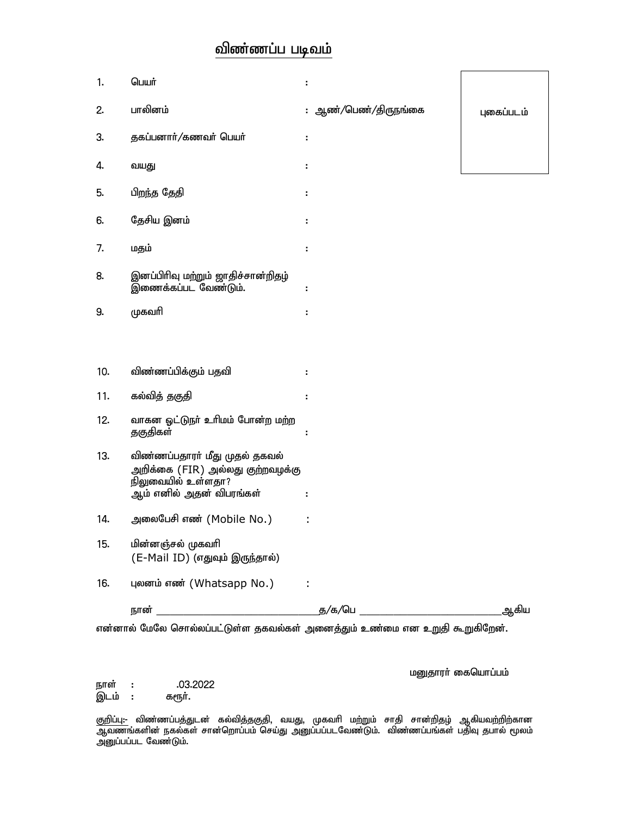## விண்ணப்ப படிவம்

| 1.  | பெயர்                                                                                                                | ÷                    |            |
|-----|----------------------------------------------------------------------------------------------------------------------|----------------------|------------|
| 2.  | பாலினம்                                                                                                              | : ஆண்/பெண்/திருநங்கை | புகைப்படம் |
| 3.  | தகப்பனார்/கணவர் பெயர்                                                                                                | ٠                    |            |
| 4.  | வயது                                                                                                                 | ÷.                   |            |
| 5.  | பிறந்த தேதி                                                                                                          |                      |            |
| 6.  | தேசிய இனம்                                                                                                           |                      |            |
| 7.  | மதம்                                                                                                                 | ÷                    |            |
| 8.  | இனப்பிரிவு மற்றும் ஜாதிச்சான்றிதழ்<br>இணைக்கப்பட வேண்டும்.                                                           | ÷                    |            |
| 9.  | முகவரி                                                                                                               | t                    |            |
|     |                                                                                                                      |                      |            |
| 10. | விண்ணப்பிக்கும் பதவி                                                                                                 |                      |            |
| 11. | கல்வித் தகுதி                                                                                                        |                      |            |
| 12. | வாகன ஓட்டுநா் உரிமம் போன்ற மற்ற<br>தகுதிகள்                                                                          |                      |            |
| 13. | விண்ணப்பதாரா் மீது முதல் தகவல்<br>அறிக்கை (FIR) அல்லது குற்றவழக்கு<br>நிலுவையில் உள்ளதா?<br>ஆம் எனில் அதன் விபரங்கள் | н                    |            |
| 14. | அலைபேசி எண் (Mobile No.)                                                                                             |                      |            |
| 15. | மின்னஞ்சல் முகவரி<br>(E-Mail ID) (எதுவும் இருந்தால்)                                                                 |                      |            |
| 16. | புலனம் எண் (Whatsapp No.)<br>$\sim 10$                                                                               |                      |            |
|     |                                                                                                                      |                      | _ஆகிய      |

என்னால் மேலே சொல்லப்பட்டுள்ள தகவல்கள் அனைத்தும் உண்மை என உறுதி கூறுகிறேன்.

மனுதாரா் கையொப்பம்

நாள் : .03.2022<br>இடம் : கரூர். இடம் :

குறிப்பு:- விண்ணப்பத்துடன் கல்வித்தகுதி, வயது, முகவரி மற்றும் சாதி சான்றிதழ் ஆகியவற்றிற்கான ஆவணங்களின் நகல்கள் சான்றொப்பம் செய்து அனுப்பப்படவேண்டும். விண்ணப்பங்கள் பதிவு தபால் மூலம் அனுப்பப்பட வேண்டும்.